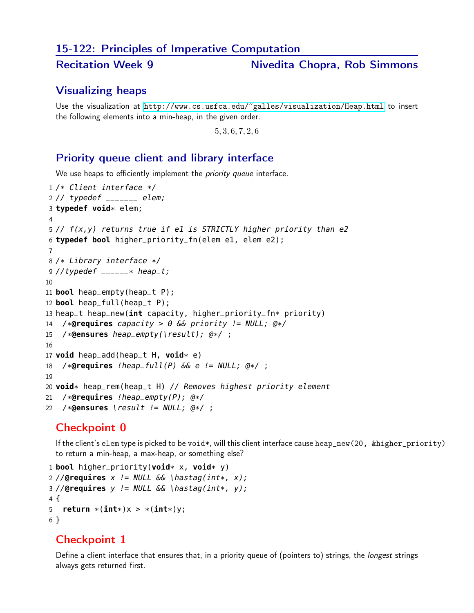#### 15-122: Principles of Imperative Computation

#### Recitation Week 9 Nivedita Chopra, Rob Simmons

# Visualizing heaps

Use the visualization at <http://www.cs.usfca.edu/~galles/visualization/Heap.html> to insert the following elements into a min-heap, in the given order.

, 3, 6, 7, 2, 6

#### Priority queue client and library interface

We use heaps to efficiently implement the *priority queue* interface.

```
1 /* Client interface */
2 // typedef _______ elem;
3 typedef void* elem;
4
5 // f(x,y) returns true if e1 is STRICTLY higher priority than e2
6 typedef bool higher_priority_fn(elem e1, elem e2);
7
8 /* Library interface */
9 //typedef _{---} * heap_t;
10
11 bool heap_empty(heap_t P);
12 bool heap_full(heap_t P);
13 heap_t heap_new(int capacity, higher_priority_fn* priority)
14 /*@requires capacity > 0 && priority != NULL; @*/
15 /*@ensures heap_empty(\result); @*/ ;
16
17 void heap_add(heap_t H, void* e)
18 /*@requires !heap_full(P) && e != NULL; @*/ ;
19
20 void* heap_rem(heap_t H) // Removes highest priority element
21 /*@requires !heap_empty(P); @*/
22 /*@ensures \result != NULL; @*/ ;
```
## Checkpoint 0

If the client's elem type is picked to be void\*, will this client interface cause heap\_new(20, &higher\_priority) to return a min-heap, a max-heap, or something else?

```
1 bool higher_priority(void* x, void* y)
2 //@requires x != NULL \&\& \{hastag(int*, x);3 //@requires y != NULL && \hastag(int*, y);
4 {
5 return *(int*)x > *(int*)y;6 }
```
## Checkpoint 1

Define a client interface that ensures that, in a priority queue of (pointers to) strings, the *longest* strings always gets returned first.